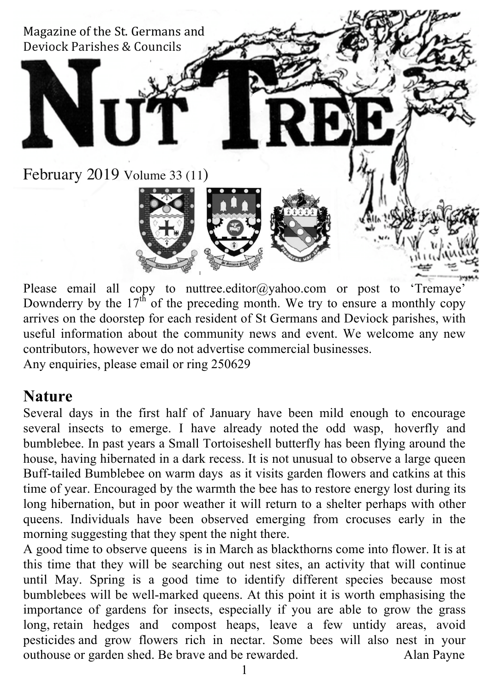

Please email all copy to nuttree.editor@yahoo.com or post to 'Tremaye' Downderry by the  $17<sup>th</sup>$  of the preceding month. We try to ensure a monthly copy arrives on the doorstep for each resident of St Germans and Deviock parishes, with useful information about the community news and event. We welcome any new contributors, however we do not advertise commercial businesses. Any enquiries, please email or ring 250629

#### **Nature**

Several days in the first half of January have been mild enough to encourage several insects to emerge. I have already noted the odd wasp, hoverfly and bumblebee. In past years a Small Tortoiseshell butterfly has been flying around the house, having hibernated in a dark recess. It is not unusual to observe a large queen Buff-tailed Bumblebee on warm days as it visits garden flowers and catkins at this time of year. Encouraged by the warmth the bee has to restore energy lost during its long hibernation, but in poor weather it will return to a shelter perhaps with other queens. Individuals have been observed emerging from crocuses early in the morning suggesting that they spent the night there.

A good time to observe queens is in March as blackthorns come into flower. It is at this time that they will be searching out nest sites, an activity that will continue until May. Spring is a good time to identify different species because most bumblebees will be well-marked queens. At this point it is worth emphasising the importance of gardens for insects, especially if you are able to grow the grass long, retain hedges and compost heaps, leave a few untidy areas, avoid pesticides and grow flowers rich in nectar. Some bees will also nest in your outhouse or garden shed. Be brave and be rewarded. Alan Payne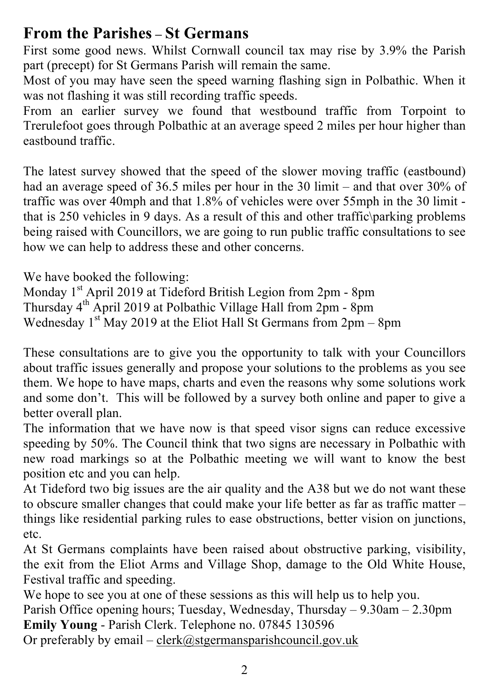## **From the Parishes – St Germans**

First some good news. Whilst Cornwall council tax may rise by 3.9% the Parish part (precept) for St Germans Parish will remain the same.

Most of you may have seen the speed warning flashing sign in Polbathic. When it was not flashing it was still recording traffic speeds.

From an earlier survey we found that westbound traffic from Torpoint to Trerulefoot goes through Polbathic at an average speed 2 miles per hour higher than eastbound traffic.

The latest survey showed that the speed of the slower moving traffic (eastbound) had an average speed of 36.5 miles per hour in the 30 limit – and that over 30% of traffic was over 40mph and that 1.8% of vehicles were over 55mph in the 30 limit that is 250 vehicles in 9 days. As a result of this and other traffic\parking problems being raised with Councillors, we are going to run public traffic consultations to see how we can help to address these and other concerns.

We have booked the following:

Monday 1<sup>st</sup> April 2019 at Tideford British Legion from 2pm - 8pm Thursday 4th April 2019 at Polbathic Village Hall from 2pm - 8pm Wednesday  $1^{st}$  May 2019 at the Eliot Hall St Germans from  $2pm - 8pm$ 

These consultations are to give you the opportunity to talk with your Councillors about traffic issues generally and propose your solutions to the problems as you see them. We hope to have maps, charts and even the reasons why some solutions work and some don't. This will be followed by a survey both online and paper to give a better overall plan.

The information that we have now is that speed visor signs can reduce excessive speeding by 50%. The Council think that two signs are necessary in Polbathic with new road markings so at the Polbathic meeting we will want to know the best position etc and you can help.

At Tideford two big issues are the air quality and the A38 but we do not want these to obscure smaller changes that could make your life better as far as traffic matter – things like residential parking rules to ease obstructions, better vision on junctions, etc.

At St Germans complaints have been raised about obstructive parking, visibility, the exit from the Eliot Arms and Village Shop, damage to the Old White House, Festival traffic and speeding.

We hope to see you at one of these sessions as this will help us to help you.

Parish Office opening hours; Tuesday, Wednesday, Thursday – 9.30am – 2.30pm **Emily Young** - Parish Clerk. Telephone no. 07845 130596 Or preferably by email – clerk@stgermansparishcouncil.gov.uk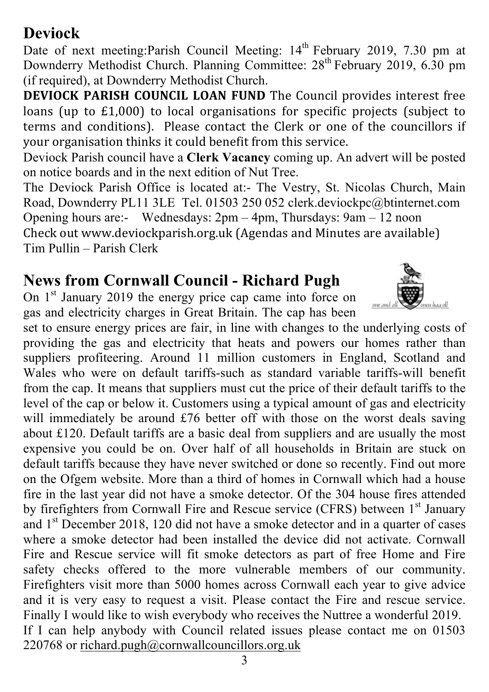#### 3

## **Deviock**

Date of next meeting: Parish Council Meeting: 14<sup>th</sup> February 2019, 7.30 pm at Downderry Methodist Church. Planning Committee: 28<sup>th</sup> February 2019, 6.30 pm (if required), at Downderry Methodist Church.

**DEVIOCK PARISH COUNCIL LOAN FUND** The Council provides interest free loans (up to  $£1,000$ ) to local organisations for specific projects (subject to terms and conditions). Please contact the Clerk or one of the councillors if your organisation thinks it could benefit from this service.

Deviock Parish council have a **Clerk Vacancy** coming up. An advert will be posted on notice boards and in the next edition of Nut Tree.

The Deviock Parish Office is located at:- The Vestry, St. Nicolas Church, Main Road, Downderry PL11 3LE Tel. 01503 250 052 clerk.deviockpc@btinternet.com Opening hours are:- Wednesdays: 2pm – 4pm, Thursdays: 9am – 12 noon Check out www.deviockparish.org.uk (Agendas and Minutes are available) Tim Pullin – Parish Clerk

## **News from Cornwall Council - Richard Pugh**

On 1<sup>st</sup> January 2019 the energy price cap came into force on gas and electricity charges in Great Britain. The cap has been

set to ensure energy prices are fair, in line with changes to the underlying costs of providing the gas and electricity that heats and powers our homes rather than suppliers profiteering. Around 11 million customers in England, Scotland and Wales who were on default tariffs-such as standard variable tariffs-will benefit from the cap. It means that suppliers must cut the price of their default tariffs to the level of the cap or below it. Customers using a typical amount of gas and electricity will immediately be around £76 better off with those on the worst deals saving about £120. Default tariffs are a basic deal from suppliers and are usually the most expensive you could be on. Over half of all households in Britain are stuck on default tariffs because they have never switched or done so recently. Find out more on the Ofgem website. More than a third of homes in Cornwall which had a house fire in the last year did not have a smoke detector. Of the 304 house fires attended by firefighters from Cornwall Fire and Rescue service (CFRS) between 1<sup>st</sup> January and 1st December 2018, 120 did not have a smoke detector and in a quarter of cases where a smoke detector had been installed the device did not activate. Cornwall Fire and Rescue service will fit smoke detectors as part of free Home and Fire safety checks offered to the more vulnerable members of our community. Firefighters visit more than 5000 homes across Cornwall each year to give advice and it is very easy to request a visit. Please contact the Fire and rescue service. Finally I would like to wish everybody who receives the Nuttree a wonderful 2019. If I can help anybody with Council related issues please contact me on 01503 220768 or richard.pugh@cornwallcouncillors.org.uk

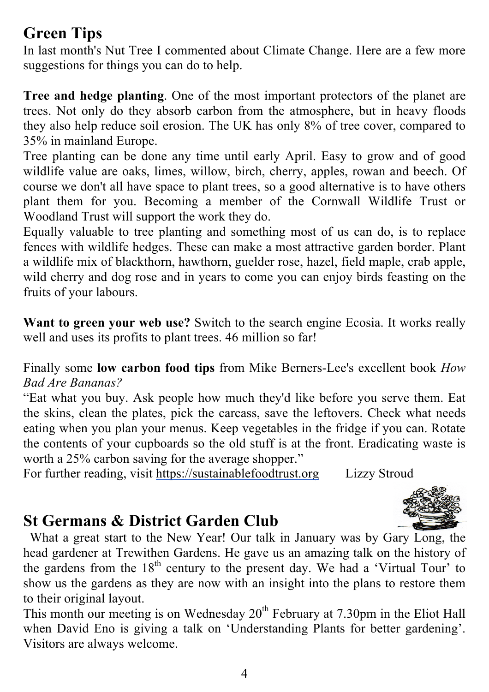## **Green Tips**

In last month's Nut Tree I commented about Climate Change. Here are a few more suggestions for things you can do to help.

**Tree and hedge planting**. One of the most important protectors of the planet are trees. Not only do they absorb carbon from the atmosphere, but in heavy floods they also help reduce soil erosion. The UK has only 8% of tree cover, compared to 35% in mainland Europe.

Tree planting can be done any time until early April. Easy to grow and of good wildlife value are oaks, limes, willow, birch, cherry, apples, rowan and beech. Of course we don't all have space to plant trees, so a good alternative is to have others plant them for you. Becoming a member of the Cornwall Wildlife Trust or Woodland Trust will support the work they do.

Equally valuable to tree planting and something most of us can do, is to replace fences with wildlife hedges. These can make a most attractive garden border. Plant a wildlife mix of blackthorn, hawthorn, guelder rose, hazel, field maple, crab apple, wild cherry and dog rose and in years to come you can enjoy birds feasting on the fruits of your labours.

**Want to green your web use?** Switch to the search engine Ecosia. It works really well and uses its profits to plant trees. 46 million so far!

Finally some **low carbon food tips** from Mike Berners-Lee's excellent book *How Bad Are Bananas?*

"Eat what you buy. Ask people how much they'd like before you serve them. Eat the skins, clean the plates, pick the carcass, save the leftovers. Check what needs eating when you plan your menus. Keep vegetables in the fridge if you can. Rotate the contents of your cupboards so the old stuff is at the front. Eradicating waste is worth a 25% carbon saving for the average shopper."

For further reading, visit https://sustainablefoodtrust.org Lizzy Stroud

## **St Germans & District Garden Club**

 What a great start to the New Year! Our talk in January was by Gary Long, the head gardener at Trewithen Gardens. He gave us an amazing talk on the history of the gardens from the  $18<sup>th</sup>$  century to the present day. We had a 'Virtual Tour' to show us the gardens as they are now with an insight into the plans to restore them to their original layout.

This month our meeting is on Wednesday  $20<sup>th</sup>$  February at 7.30pm in the Eliot Hall when David Eno is giving a talk on 'Understanding Plants for better gardening'. Visitors are always welcome.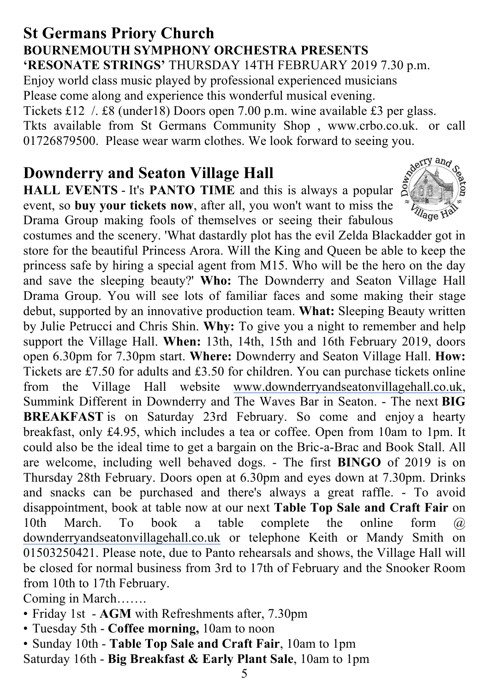#### **St Germans Priory Church BOURNEMOUTH SYMPHONY ORCHESTRA PRESENTS 'RESONATE STRINGS'** THURSDAY 14TH FEBRUARY 2019 7.30 p.m.

Enjoy world class music played by professional experienced musicians Please come along and experience this wonderful musical evening. Tickets £12 /. £8 (under18) Doors open 7.00 p.m. wine available £3 per glass. Tkts available from St Germans Community Shop , www.crbo.co.uk. or call 01726879500. Please wear warm clothes. We look forward to seeing you.

#### **Downderry and Seaton Village Hall**

**HALL EVENTS** - It's **PANTO TIME** and this is always a popular  $\frac{S}{S}$ event, so **buy your tickets now**, after all, you won't want to miss the Drama Group making fools of themselves or seeing their fabulous



costumes and the scenery. 'What dastardly plot has the evil Zelda Blackadder got in store for the beautiful Princess Arora. Will the King and Queen be able to keep the princess safe by hiring a special agent from M15. Who will be the hero on the day and save the sleeping beauty?' **Who:** The Downderry and Seaton Village Hall Drama Group. You will see lots of familiar faces and some making their stage debut, supported by an innovative production team. **What:** Sleeping Beauty written by Julie Petrucci and Chris Shin. **Why:** To give you a night to remember and help support the Village Hall. **When:** 13th, 14th, 15th and 16th February 2019, doors open 6.30pm for 7.30pm start. **Where:** Downderry and Seaton Village Hall. **How:** Tickets are £7.50 for adults and £3.50 for children. You can purchase tickets online from the Village Hall website www.downderryandseatonvillagehall.co.uk, Summink Different in Downderry and The Waves Bar in Seaton. - The next **BIG BREAKFAST** is on Saturday 23rd February. So come and enjoy a hearty breakfast, only £4.95, which includes a tea or coffee. Open from 10am to 1pm. It could also be the ideal time to get a bargain on the Bric-a-Brac and Book Stall. All are welcome, including well behaved dogs. - The first **BINGO** of 2019 is on Thursday 28th February. Doors open at 6.30pm and eyes down at 7.30pm. Drinks and snacks can be purchased and there's always a great raffle. - To avoid disappointment, book at table now at our next **Table Top Sale and Craft Fair** on 10th March. To book a table complete the online form @ downderryandseatonvillagehall.co.uk or telephone Keith or Mandy Smith on 01503250421. Please note, due to Panto rehearsals and shows, the Village Hall will be closed for normal business from 3rd to 17th of February and the Snooker Room from 10th to 17th February.

Coming in March…….

- Friday 1st **AGM** with Refreshments after, 7.30pm
- Tuesday 5th **Coffee morning,** 10am to noon
- Sunday 10th **Table Top Sale and Craft Fair**, 10am to 1pm
- Saturday 16th **Big Breakfast & Early Plant Sale**, 10am to 1pm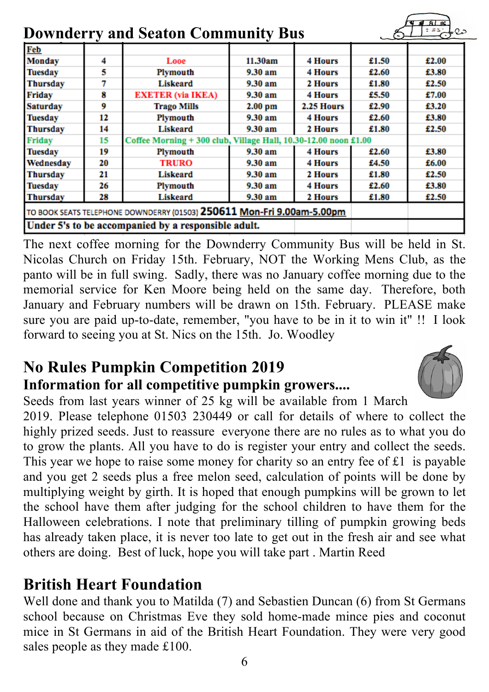| <b>Downderry and Seaton Community Bus</b>                              |    |                                                                 |           |                |       | $= 22$ |
|------------------------------------------------------------------------|----|-----------------------------------------------------------------|-----------|----------------|-------|--------|
| Feb                                                                    |    |                                                                 |           |                |       |        |
| <b>Monday</b>                                                          | 4  | Looe                                                            | 11.30am   | <b>4 Hours</b> | £1.50 | £2.00  |
| <b>Tuesday</b>                                                         | 5  | Plymouth                                                        | 9.30 am   | 4 Hours        | £2.60 | £3.80  |
| <b>Thursday</b>                                                        |    | Liskeard                                                        | 9.30 am   | 2 Hours        | £1.80 | £2.50  |
| <b>Friday</b>                                                          | 8  | <b>EXETER</b> (via IKEA)                                        | 9.30 am   | 4 Hours        | £5.50 | £7.00  |
| <b>Saturday</b>                                                        | 9  | <b>Trago Mills</b>                                              | $2.00$ pm | 2.25 Hours     | £2.90 | £3.20  |
| <b>Tuesday</b>                                                         | 12 | Plymouth                                                        | 9.30 am   | 4 Hours        | £2.60 | £3.80  |
| <b>Thursday</b>                                                        | 14 | Liskeard                                                        | 9.30 am   | 2 Hours        | £1.80 | £2.50  |
| <b>Friday</b>                                                          | 15 | Coffee Morning + 300 club, Village Hall, 10.30-12.00 noon £1.00 |           |                |       |        |
| <b>Tuesday</b>                                                         | 19 | Plymouth                                                        | 9.30 am   | <b>4 Hours</b> | £2.60 | £3.80  |
| Wednesday                                                              | 20 | <b>TRURO</b>                                                    | 9.30 am   | <b>4 Hours</b> | £4.50 | £6.00  |
| <b>Thursday</b>                                                        | 21 | Liskeard                                                        | 9.30 am   | 2 Hours        | £1.80 | £2.50  |
| <b>Tuesday</b>                                                         | 26 | Plymouth                                                        | 9.30 am   | 4 Hours        | £2.60 | £3.80  |
| <b>Thursday</b>                                                        | 28 | Liskeard                                                        | 9.30 am   | 2 Hours        | £1.80 | £2.50  |
| TO BOOK SEATS TELEPHONE DOWNDERRY (01503) 250611 Mon-Fri 9.00am-5.00pm |    |                                                                 |           |                |       |        |
|                                                                        |    | Under 5's to be accompanied by a responsible adult.             |           |                |       |        |

The next coffee morning for the Downderry Community Bus will be held in St. Nicolas Church on Friday 15th. February, NOT the Working Mens Club, as the panto will be in full swing. Sadly, there was no January coffee morning due to the memorial service for Ken Moore being held on the same day. Therefore, both January and February numbers will be drawn on 15th. February. PLEASE make sure you are paid up-to-date, remember, "you have to be in it to win it" !! I look forward to seeing you at St. Nics on the 15th. Jo. Woodley

## **No Rules Pumpkin Competition 2019 Information for all competitive pumpkin growers....**



 $\frac{1}{2}$ 

Seeds from last years winner of 25 kg will be available from 1 March 2019. Please telephone 01503 230449 or call for details of where to collect the highly prized seeds. Just to reassure everyone there are no rules as to what you do to grow the plants. All you have to do is register your entry and collect the seeds. This year we hope to raise some money for charity so an entry fee of £1 is payable and you get 2 seeds plus a free melon seed, calculation of points will be done by multiplying weight by girth. It is hoped that enough pumpkins will be grown to let the school have them after judging for the school children to have them for the Halloween celebrations. I note that preliminary tilling of pumpkin growing beds has already taken place, it is never too late to get out in the fresh air and see what others are doing. Best of luck, hope you will take part . Martin Reed

## **British Heart Foundation**

Well done and thank you to Matilda (7) and Sebastien Duncan (6) from St Germans school because on Christmas Eve they sold home-made mince pies and coconut mice in St Germans in aid of the British Heart Foundation. They were very good sales people as they made £100.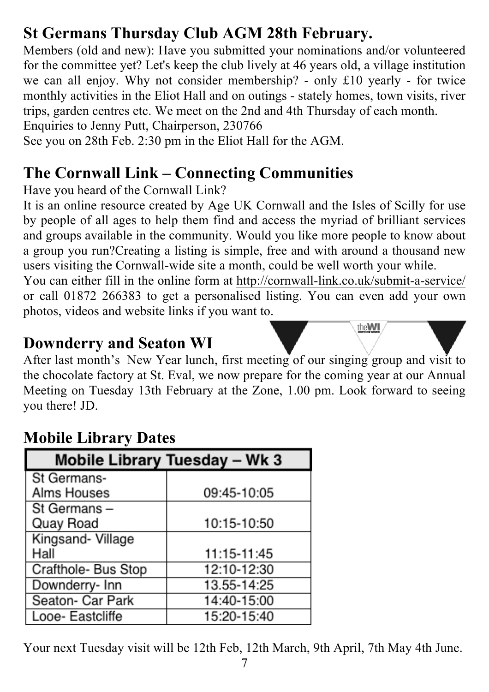## **St Germans Thursday Club AGM 28th February.**

Members (old and new): Have you submitted your nominations and/or volunteered for the committee yet? Let's keep the club lively at 46 years old, a village institution we can all enjoy. Why not consider membership? - only £10 yearly - for twice monthly activities in the Eliot Hall and on outings - stately homes, town visits, river trips, garden centres etc. We meet on the 2nd and 4th Thursday of each month.

Enquiries to Jenny Putt, Chairperson, 230766

See you on 28th Feb. 2:30 pm in the Eliot Hall for the AGM.

## **The Cornwall Link – Connecting Communities**

Have you heard of the Cornwall Link?

It is an online resource created by Age UK Cornwall and the Isles of Scilly for use by people of all ages to help them find and access the myriad of brilliant services and groups available in the community. Would you like more people to know about a group you run?Creating a listing is simple, free and with around a thousand new users visiting the Cornwall-wide site a month, could be well worth your while.

You can either fill in the online form at http://cornwall-link.co.uk/submit-a-service/ or call 01872 266383 to get a personalised listing. You can even add your own photos, videos and website links if you want to.

theWI

#### **Downderry and Seaton WI**

After last month's New Year lunch, first meeting of our singing group and visit to the chocolate factory at St. Eval, we now prepare for the coming year at our Annual Meeting on Tuesday 13th February at the Zone, 1.00 pm. Look forward to seeing you there! JD.

## **Mobile Library Dates**

| Mobile Library Tuesday - Wk 3 |             |  |  |  |  |
|-------------------------------|-------------|--|--|--|--|
| St Germans-                   |             |  |  |  |  |
| Alms Houses                   | 09:45-10:05 |  |  |  |  |
| St Germans-                   |             |  |  |  |  |
| Quay Road                     | 10:15-10:50 |  |  |  |  |
| Kingsand- Village             |             |  |  |  |  |
| Hall                          | 11:15-11:45 |  |  |  |  |
| Crafthole- Bus Stop           | 12:10-12:30 |  |  |  |  |
| Downderry- Inn                | 13.55-14:25 |  |  |  |  |
| Seaton- Car Park              | 14:40-15:00 |  |  |  |  |
| Looe- Eastcliffe              | 15:20-15:40 |  |  |  |  |

Your next Tuesday visit will be 12th Feb, 12th March, 9th April, 7th May 4th June.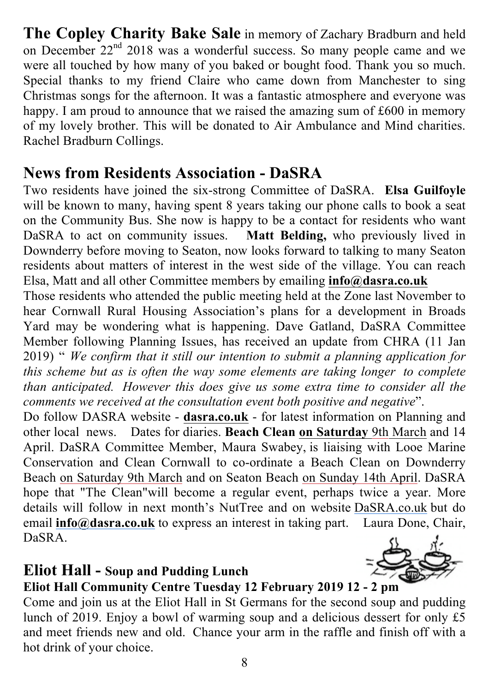**The Copley Charity Bake Sale** in memory of Zachary Bradburn and held on December 22<sup>nd</sup> 2018 was a wonderful success. So many people came and we were all touched by how many of you baked or bought food. Thank you so much. Special thanks to my friend Claire who came down from Manchester to sing Christmas songs for the afternoon. It was a fantastic atmosphere and everyone was happy. I am proud to announce that we raised the amazing sum of £600 in memory of my lovely brother. This will be donated to Air Ambulance and Mind charities. Rachel Bradburn Collings.

## **News from Residents Association - DaSRA**

Two residents have joined the six-strong Committee of DaSRA. **Elsa Guilfoyle** will be known to many, having spent 8 years taking our phone calls to book a seat on the Community Bus. She now is happy to be a contact for residents who want DaSRA to act on community issues. **Matt Belding,** who previously lived in Downderry before moving to Seaton, now looks forward to talking to many Seaton residents about matters of interest in the west side of the village. You can reach Elsa, Matt and all other Committee members by emailing **info@dasra.co.uk**

Those residents who attended the public meeting held at the Zone last November to hear Cornwall Rural Housing Association's plans for a development in Broads Yard may be wondering what is happening. Dave Gatland, DaSRA Committee Member following Planning Issues, has received an update from CHRA (11 Jan 2019) " *We confirm that it still our intention to submit a planning application for this scheme but as is often the way some elements are taking longer to complete than anticipated. However this does give us some extra time to consider all the comments we received at the consultation event both positive and negative*".

Do follow DASRA website - **dasra.co.uk** - for latest information on Planning and other local news. Dates for diaries. **Beach Clean on Saturday** 9th March and 14 April. DaSRA Committee Member, Maura Swabey, is liaising with Looe Marine Conservation and Clean Cornwall to co-ordinate a Beach Clean on Downderry Beach on Saturday 9th March and on Seaton Beach on Sunday 14th April. DaSRA hope that "The Clean"will become a regular event, perhaps twice a year. More details will follow in next month's NutTree and on website DaSRA.co.uk but do email **info@dasra.co.uk** to express an interest in taking part. Laura Done, Chair, DaSRA.

## **Eliot Hall - Soup and Pudding Lunch**



#### **Eliot Hall Community Centre Tuesday 12 February 2019 12 - 2 pm**

Come and join us at the Eliot Hall in St Germans for the second soup and pudding lunch of 2019. Enjoy a bowl of warming soup and a delicious dessert for only £5 and meet friends new and old. Chance your arm in the raffle and finish off with a hot drink of your choice.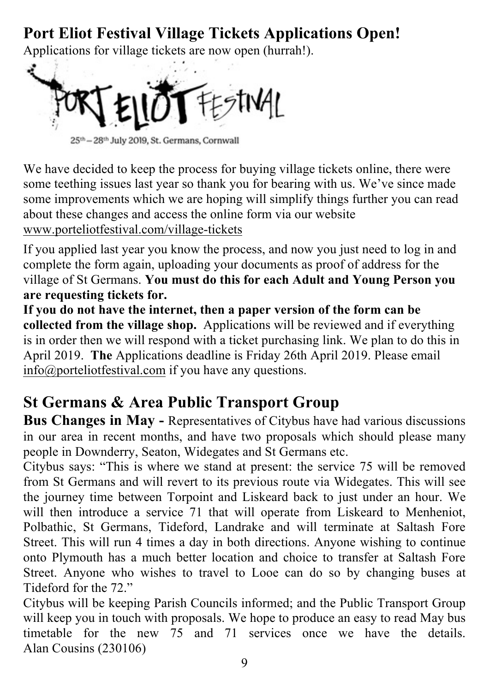## **Port Eliot Festival Village Tickets Applications Open!**

Applications for village tickets are now open (hurrah!).



25th - 28th July 2019, St. Germans, Cornwall

We have decided to keep the process for buying village tickets online, there were some teething issues last year so thank you for bearing with us. We've since made some improvements which we are hoping will simplify things further you can read about these changes and access the online form via our website www.porteliotfestival.com/village-tickets

If you applied last year you know the process, and now you just need to log in and complete the form again, uploading your documents as proof of address for the village of St Germans. **You must do this for each Adult and Young Person you are requesting tickets for.**

**If you do not have the internet, then a paper version of the form can be collected from the village shop.** Applications will be reviewed and if everything is in order then we will respond with a ticket purchasing link. We plan to do this in April 2019. **The** Applications deadline is Friday 26th April 2019. Please email info@porteliotfestival.com if you have any questions.

## **St Germans & Area Public Transport Group**

**Bus Changes in May -** Representatives of Citybus have had various discussions in our area in recent months, and have two proposals which should please many people in Downderry, Seaton, Widegates and St Germans etc.

Citybus says: "This is where we stand at present: the service 75 will be removed from St Germans and will revert to its previous route via Widegates. This will see the journey time between Torpoint and Liskeard back to just under an hour. We will then introduce a service 71 that will operate from Liskeard to Menheniot, Polbathic, St Germans, Tideford, Landrake and will terminate at Saltash Fore Street. This will run 4 times a day in both directions. Anyone wishing to continue onto Plymouth has a much better location and choice to transfer at Saltash Fore Street. Anyone who wishes to travel to Looe can do so by changing buses at Tideford for the 72."

Citybus will be keeping Parish Councils informed; and the Public Transport Group will keep you in touch with proposals. We hope to produce an easy to read May bus timetable for the new 75 and 71 services once we have the details. Alan Cousins (230106)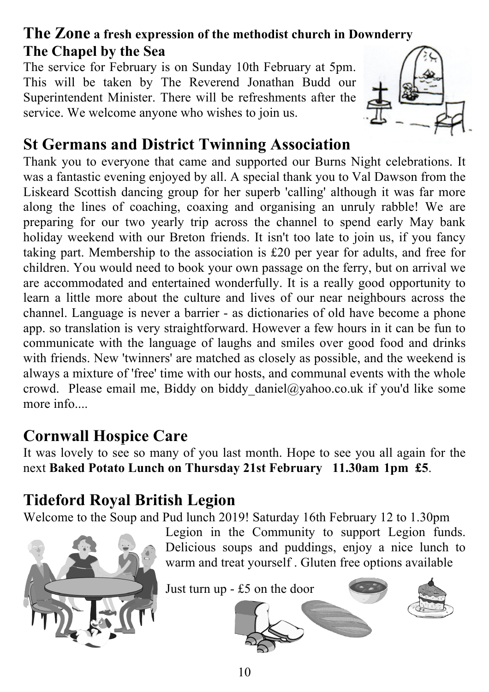## **The Zone a fresh expression of the methodist church in Downderry The Chapel by the Sea**

The service for February is on Sunday 10th February at 5pm. This will be taken by The Reverend Jonathan Budd our Superintendent Minister. There will be refreshments after the service. We welcome anyone who wishes to join us.



## **St Germans and District Twinning Association**

Thank you to everyone that came and supported our Burns Night celebrations. It was a fantastic evening enjoyed by all. A special thank you to Val Dawson from the Liskeard Scottish dancing group for her superb 'calling' although it was far more along the lines of coaching, coaxing and organising an unruly rabble! We are preparing for our two yearly trip across the channel to spend early May bank holiday weekend with our Breton friends. It isn't too late to join us, if you fancy taking part. Membership to the association is £20 per year for adults, and free for children. You would need to book your own passage on the ferry, but on arrival we are accommodated and entertained wonderfully. It is a really good opportunity to learn a little more about the culture and lives of our near neighbours across the channel. Language is never a barrier - as dictionaries of old have become a phone app. so translation is very straightforward. However a few hours in it can be fun to communicate with the language of laughs and smiles over good food and drinks with friends. New 'twinners' are matched as closely as possible, and the weekend is always a mixture of 'free' time with our hosts, and communal events with the whole crowd. Please email me, Biddy on biddy daniel@yahoo.co.uk if you'd like some more info...

## **Cornwall Hospice Care**

It was lovely to see so many of you last month. Hope to see you all again for the next **Baked Potato Lunch on Thursday 21st February 11.30am-1pm £5**.

## **Tideford Royal British Legion**

Welcome to the Soup and Pud lunch 2019! Saturday 16th February 12 to 1.30pm



Legion in the Community to support Legion funds. Delicious soups and puddings, enjoy a nice lunch to warm and treat yourself . Gluten free options available

Just turn up - £5 on the door



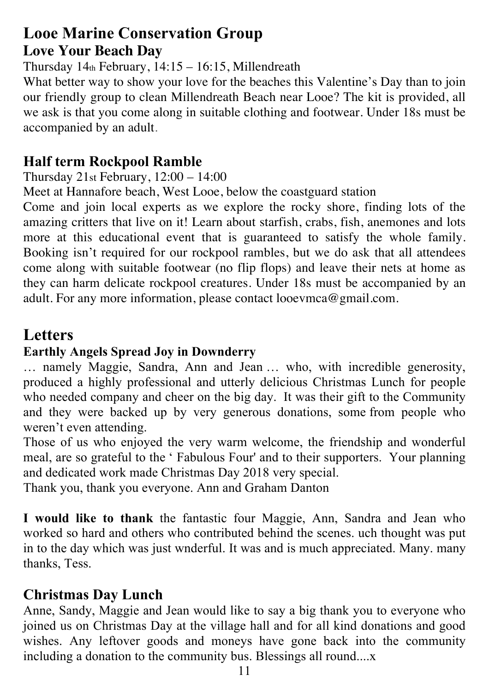#### **Looe Marine Conservation Group Love Your Beach Day**

Thursday  $14<sub>th</sub>$  February,  $14:15 - 16:15$ , Millendreath

What better way to show your love for the beaches this Valentine's Day than to join our friendly group to clean Millendreath Beach near Looe? The kit is provided, all we ask is that you come along in suitable clothing and footwear. Under 18s must be accompanied by an adult.

#### **Half term Rockpool Ramble**

Thursday 21st February, 12:00 – 14:00

Meet at Hannafore beach, West Looe, below the coastguard station

Come and join local experts as we explore the rocky shore, finding lots of the amazing critters that live on it! Learn about starfish, crabs, fish, anemones and lots more at this educational event that is guaranteed to satisfy the whole family. Booking isn't required for our rockpool rambles, but we do ask that all attendees come along with suitable footwear (no flip flops) and leave their nets at home as they can harm delicate rockpool creatures. Under 18s must be accompanied by an adult. For any more information, please contact looevmca@gmail.com.

## **Letters**

#### **Earthly Angels Spread Joy in Downderry**

… namely Maggie, Sandra, Ann and Jean … who, with incredible generosity, produced a highly professional and utterly delicious Christmas Lunch for people who needed company and cheer on the big day. It was their gift to the Community and they were backed up by very generous donations, some from people who weren't even attending.

Those of us who enjoyed the very warm welcome, the friendship and wonderful meal, are so grateful to the ' Fabulous Four' and to their supporters. Your planning and dedicated work made Christmas Day 2018 very special.

Thank you, thank you everyone. Ann and Graham Danton

**I would like to thank** the fantastic four Maggie, Ann, Sandra and Jean who worked so hard and others who contributed behind the scenes. uch thought was put in to the day which was just wnderful. It was and is much appreciated. Many. many thanks, Tess.

#### **Christmas Day Lunch**

Anne, Sandy, Maggie and Jean would like to say a big thank you to everyone who joined us on Christmas Day at the village hall and for all kind donations and good wishes. Any leftover goods and moneys have gone back into the community including a donation to the community bus. Blessings all round....x